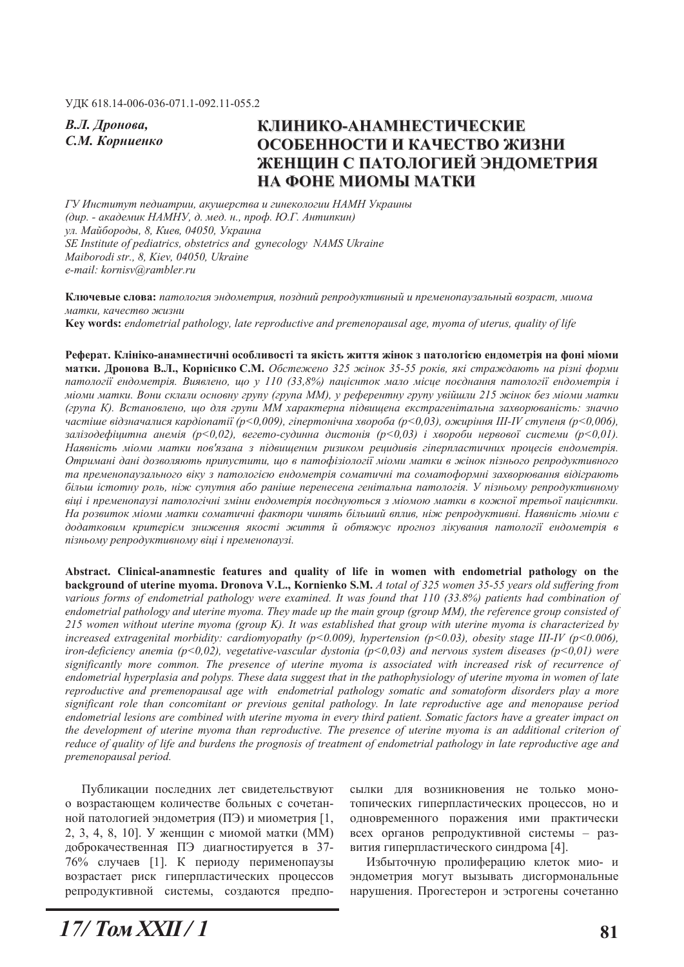**В.Л.** Дронова,

# *ɋ.Ɇ. Ʉɨɪɧɢɟɧɤɨ* **ɄɅɂɇɂɄɈȺɇȺɆɇȿɋɌɂɑȿɋɄɂȿ ОСОБЕННОСТИ И КАЧЕСТВО ЖИЗНИ ЖЕНЩИН С ПАТОЛОГИЕЙ ЭНДОМЕТРИЯ** НА ФОНЕ МИОМЫ МАТКИ

*Ƚɍ ɂɧɫɬɢɬɭɬ ɩɟɞɢɚɬɪɢɢ, ɚɤɭɲɟɪɫɬɜɚ ɢ ɝɢɧɟɤɨɥɨɝɢɢ ɇȺɆɇ ɍɤɪɚɢɧɵ*  $(∂up. - ακα∂εμικ ΗΔΜΗУ, χ. μεδ. κ., проφ. ΙΟ.Γ. Αημικικιή)$ yл. Майбороды, 8, Киев, 04050, Украина *SE Institute of pediatrics, obstetrics and gynecology NAMS Ukraine Maiborodi str., 8, Kiev, 04050, Ukraine e-mail: kornisv@rambler.ru* 

Ключевые слова: патология эндометрия, поздний репродуктивный и пременопаузальный возраст, миома  $M$ атки, качество жизни **.H\ZRUGV** *endometrial pathology, late reproductive and premenopausal age, myoma of uterus, quality of life* 

Реферат. Клініко-анамнестичні особливості та якість життя жінок з патологією ендометрія на фоні міоми **матки. Дронова В.Л., Корнієнко С.М.** Обстежено 325 жінок 35-55 років, які страждають на різні форми *nатології ендометрія. Виявлено, що у 110 (33,8%) пацієнток мало місце поєднання патології ендометрія і* міоми матки. Вони склали основну групу (група ММ), у референтну групу увійшли 215 жінок без міоми матки *(ɝɪɭɩɚ Ʉ). ȼɫɬɚɧɨɜɥɟɧɨ, ɳɨ ɞɥɹ ɝɪɭɩɢ ɆɆ ɯɚɪɚɤɬɟɪɧɚ ɩɿɞɜɢɳɟɧɚ ɟɤɫɬɪɚɝɟɧɿɬɚɥɶɧɚ ɡɚɯɜɨɪɸɜɚɧɿɫɬɶ: ɡɧɚɱɧɨ ɱɚɫɬɿɲɟ ɜɿɞɡɧɚɱɚɥɢɫɹ ɤɚɪɞɿɨɩɚɬɿʀ (p<0,009), ɝɿɩɟɪɬɨɧɿɱɧɚ ɯɜɨɪɨɛɚ (p<0,03), ɨɠɢɪɿɧɧɹ III-IV ɫɬɭɩɟɧɹ (p<0,006),*   $3a\pi$ iзодефiиитна анемiя (p<0,02), вегето-судинна дистонія (p<0,03) і хвороби нервової системи (p<0,01).  $H$ аявність міоми матки пов'язана з підвишеним ризиком решидивів гіперпластичних проиесів ендометрія. *Ɉɬɪɢɦɚɧɿ ɞɚɧɿ ɞɨɡɜɨɥɹɸɬɶ ɩɪɢɩɭɫɬɢɬɢ, ɳɨ ɜ ɩɚɬɨɮɿɡɿɨɥɨɝɿʀ ɦɿɨɦɢ ɦɚɬɤɢ ɜ ɠɿɧɨɤ ɩɿɡɧɶɨɝɨ ɪɟɩɪɨɞɭɤɬɢɜɧɨɝɨ* та пременопаузального віку з патологією ендометрія соматичні та соматоформні захворювання відіграють  $6i$ льш *iстотну роль, ніж супутня або раніше перенесена генітальна патологія. У пізньому репродуктивному ɜɿɰɿ ɿ ɩɪɟɦɟɧɨɩɚɭɡɿ ɩɚɬɨɥɨɝɿɱɧɿ ɡɦɿɧɢ ɟɧɞɨɦɟɬɪɿɹ ɩɨɽɞɧɭɸɬɶɫɹ ɡ ɦɿɨɦɨɸ ɦɚɬɤɢ ɜ ɤɨɠɧɨʀ ɬɪɟɬɶɨʀ ɩɚɰɿɽɧɬɤɢ.*  На розвиток міоми матки соматичні фактори чинять більший вплив, ніж репродуктивні. Наявність міоми є додатковим критерієм зниження якості життя й обтяжує прогноз лікування патології ендометрія в пізньому репродуктивному віці і пременопаузі.

Abstract. Clinical-anamnestic features and quality of life in women with endometrial pathology on the **background of uterine myoma. Dronova V.L., Kornienko S.M.** A total of 325 women 35-55 years old suffering from *various forms of endometrial pathology were examined. It was found that 110 (33.8%) patients had combination of endometrial pathology and uterine myoma. They made up the main group (group MM), the reference group consisted of 215 women without uterine myoma (group K). It was established that group with uterine myoma is characterized by increased extragenital morbidity: cardiomyopathy (p<0.009), hypertension (p<0.03), obesity stage III-IV (p<0.006), iron-deficiency anemia (p<0,02), vegetative-vascular dystonia (p<0,03) and nervous system diseases (p<0,01) were significantly more common. The presence of uterine myoma is associated with increased risk of recurrence of endometrial hyperplasia and polyps. These data suggest that in the pathophysiology of uterine myoma in women of late reproductive and premenopausal age with endometrial pathology somatic and somatoform disorders play a more significant role than concomitant or previous genital pathology. In late reproductive age and menopause period endometrial lesions are combined with uterine myoma in every third patient. Somatic factors have a greater impact on the development of uterine myoma than reproductive. The presence of uterine myoma is an additional criterion of reduce of quality of life and burdens the prognosis of treatment of endometrial pathology in late reproductive age and premenopausal period.* 

Публикации последних лет свидетельствуют о возрастающем количестве больных с сочетанной патологией эндометрия (ПЭ) и миометрия [1, 2, 3, 4, 8, 10]. У женщин с миомой матки (ММ) доброкачественная ПЭ диагностируется в 37-76% случаев [1]. К периоду перименопаузы возрастает риск гиперпластических процессов репродуктивной системы, создаются предпо-

сылки для возникновения не только монотопических гиперпластических процессов, но и одновременного поражения ими практически всех органов репродуктивной системы - развития гиперпластического синдрома [4].

Избыточную пролиферацию клеток мио- и эндометрия могут вызывать дисгормональные нарушения. Прогестерон и эстрогены сочетанно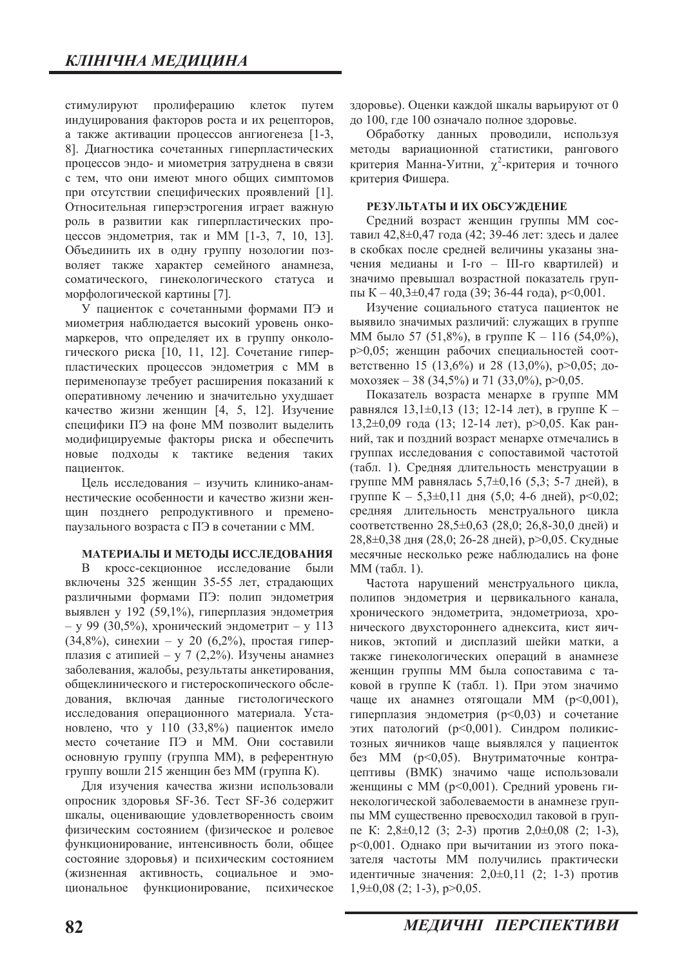стимулируют пролиферацию клеток путем индуцирования факторов роста и их рецепторов, а также активации процессов ангиогенеза [1-3, 8]. Диагностика сочетанных гиперпластических процессов эндо- и миометрия затруднена в связи с тем, что они имеют много общих симптомов при отсутствии специфических проявлений [1]. Относительная гиперэстрогения играет важную роль в развитии как гиперпластических процессов эндометрия, так и ММ  $[1-3, 7, 10, 13]$ . Объединить их в одну группу нозологии позволяет также характер семейного анамнеза, соматического, гинекологического статуса и морфологической картины [7].

У пациенток с сочетанными формами ПЭ и миометрия наблюдается высокий уровень онкомаркеров, что определяет их в группу онкологического риска [10, 11, 12]. Сочетание гиперпластических процессов эндометрия с ММ в перименопаузе требует расширения показаний к оперативному лечению и значительно ухудшает качество жизни женщин [4, 5, 12]. Изучение специфики ПЭ на фоне ММ позволит выделить модифицируемые факторы риска и обеспечить новые подходы к тактике ведения таких пациенток.

Цель исследования - изучить клинико-анамнестические особенности и качество жизни женщин позднего репродуктивного и пременопаузального возраста с ПЭ в сочетании с ММ.

#### МАТЕРИАЛЫ И МЕТОДЫ ИССЛЕДОВАНИЯ

В кросс-секционное исследование были включены 325 женщин 35-55 лет, страдающих различными формами ПЭ: полип эндометрия выявлен у 192 (59,1%), гиперплазия эндометрия  $-$  у 99 (30,5%), хронический эндометрит  $-$  у 113  $(34,8\%)$ , синехии – у 20  $(6,2\%)$ , простая гиперплазия с атипией - у 7 (2,2%). Изучены анамнез заболевания, жалобы, результаты анкетирования, общеклинического и гистероскопического обследования, включая данные гистологического исследования операционного материала. Установлено, что у 110 (33,8%) пациенток имело место сочетание ПЭ и ММ. Они составили основную группу (группа ММ), в референтную группу вошли 215 женщин без ММ (группа К).

Для изучения качества жизни использовали опросник здоровья SF-36. Тест SF-36 содержит шкалы, оценивающие удовлетворенность своим физическим состоянием (физическое и ролевое функционирование, интенсивность боли, общее состояние здоровья) и психическим состоянием (жизненная активность, социальное и эмоциональное функционирование, психическое

здоровье). Оценки каждой шкалы варьируют от 0 до 100, где 100 означало полное здоровье.

Обработку данных проводили, используя методы вариационной статистики, рангового критерия Манна-Уитни,  $\chi^2$ -критерия и точного критерия Фишера.

#### РЕЗУЛЬТАТЫ И ИХ ОБСУЖДЕНИЕ

Средний возраст женщин группы ММ составил 42,8 $\pm$ 0,47 года (42; 39-46 лет: здесь и далее в скобках после средней величины указаны значения медианы и I-го - III-го квартилей) и значимо превышал возрастной показатель группы  $K - 40,3 \pm 0,47$  года (39; 36-44 года), р<0,001.

Изучение социального статуса пациенток не выявило значимых различий: служащих в группе ММ было 57 (51,8%), в группе К – 116 (54,0%), р>0,05; женщин рабочих специальностей соответственно 15 (13,6%) и 28 (13,0%), р>0,05; до-MOXO3REK - 38 (34,5%)  $\mu$  71 (33,0%), p>0,05.

Показатель возраста менархе в группе ММ равнялся 13,1 $\pm$ 0,13 (13; 12-14 лет), в группе К – 13,2 $\pm$ 0,09 года (13; 12-14 лет), р>0,05. Как ранний, так и поздний возраст менархе отмечались в группах исследования с сопоставимой частотой (табл. 1). Средняя длительность менструации в группе ММ равнялась 5,7 $\pm$ 0,16 (5,3; 5-7 дней), в группе  $K - 5,3\pm0,11$  дня (5,0; 4-6 дней), р<0,02; средняя длительность менструального цикла соответственно 28,5±0,63 (28,0; 26,8-30,0 дней) и 28,8±0,38 дня (28,0; 26-28 дней), р>0,05. Скудные месячные несколько реже наблюдались на фоне ММ (табл. 1).

Частота нарушений менструального цикла, полипов эндометрия и цервикального канала, хронического эндометрита, эндометриоза, хронического двухстороннего аднексита, кист яичников, эктопий и дисплазий шейки матки, а также гинекологических операций в анамнезе женщин группы ММ была сопоставима с таковой в группе К (табл. 1). При этом значимо чаше их анамнез отягошали ММ  $(p<0.001)$ . гиперплазия эндометрия (р<0,03) и сочетание этих патологий (р<0,001). Синдром поликистозных яичников чаще выявлялся у пациенток без ММ (р<0,05). Внутриматочные контрацептивы (ВМК) значимо чаще использовали женщины с ММ (р<0,001). Средний уровень гинекологической заболеваемости в анамнезе группы ММ существенно превосходил таковой в груп- $\mu$  K: 2,8 $\pm$ 0,12 (3; 2-3) против 2,0 $\pm$ 0,08 (2; 1-3), р<0,001. Однако при вычитании из этого показателя частоты ММ получились практически идентичные значения:  $2,0\pm0,11$  (2; 1-3) против  $1,9\pm0,08$  (2; 1-3), p $>0,05$ .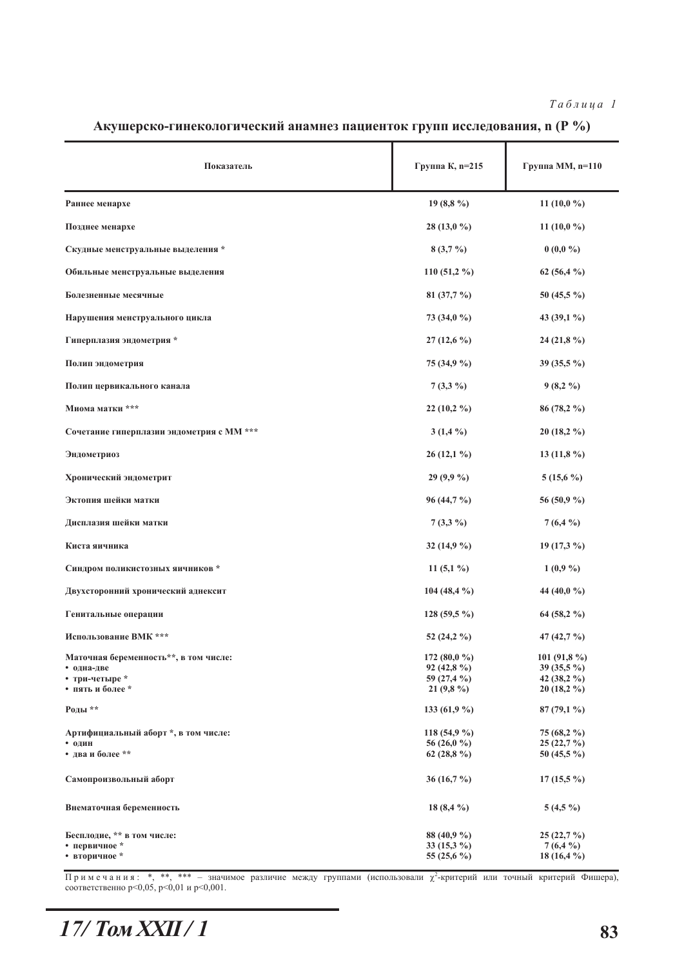$Ta 6 \pi u u q a 1$ 

| Показатель                                                                                | Группа К, n=215                                             | Группа ММ, n=110                                                          |
|-------------------------------------------------------------------------------------------|-------------------------------------------------------------|---------------------------------------------------------------------------|
| Раннее менархе                                                                            | 19 $(8,8\%)$                                                | 11 $(10,0\%)$                                                             |
| Позднее менархе                                                                           | $28(13,0\%)$                                                | 11 $(10,0\%)$                                                             |
| Скудные менструальные выделения *                                                         | $8(3,7\%)$                                                  | $0(0,0\%)$                                                                |
| Обильные менструальные выделения                                                          | 110 (51,2 $%$ )                                             | 62 $(56, 4\%)$                                                            |
| Болезненные месячные                                                                      | 81 $(37,7\%)$                                               | 50 (45,5 $\%$ )                                                           |
| Нарушения менструального цикла                                                            | 73 (34,0 %)                                                 | 43 $(39,1\%)$                                                             |
| Гиперплазия эндометрия *                                                                  | $27(12,6\%)$                                                | 24 (21,8 $%$ )                                                            |
| Полип эндометрия                                                                          | $75(34.9\%)$                                                | 39 (35,5 %)                                                               |
| Полип цервикального канала                                                                | $7(3,3\%)$                                                  | $9(8,2\%)$                                                                |
| Миома матки ***                                                                           | $22(10,2\%)$                                                | 86 (78,2 %)                                                               |
| Сочетание гиперплазии эндометрия с ММ ***                                                 | $3(1,4\%)$                                                  | $20(18,2\%)$                                                              |
| Эндометриоз                                                                               | $26(12,1\%)$                                                | 13 $(11,8%)$                                                              |
| Хронический эндометрит                                                                    | 29(9,9%)                                                    | $5(15,6\%)$                                                               |
| Эктопия шейки матки                                                                       | $96(44,7\%)$                                                | 56 (50,9 %)                                                               |
| Дисплазия шейки матки                                                                     | $7(3,3\%)$                                                  | $7(6,4\%)$                                                                |
| Киста яичника                                                                             | 32 $(14,9\%)$                                               | $19(17,3\%)$                                                              |
| Синдром поликистозных яичников *                                                          | 11 $(5,1\%)$                                                | 1(0,9,9)                                                                  |
| Двухсторонний хронический аднексит                                                        | 104 (48,4 %)                                                | 44 (40,0 $\%$ )                                                           |
| Генитальные операции                                                                      | $128(59,5\%)$                                               | 64 (58,2 $\%$ )                                                           |
| Использование ВМК ***                                                                     | 52 $(24, 2\%)$                                              | 47 $(42,7\%)$                                                             |
| Маточная беременность**, в том числе:<br>• одна-две<br>• три-четыре *<br>• пять и более * | 172 (80,0 %)<br>$92(42,8\%)$<br>59 (27,4 %)<br>21 $(9,8\%)$ | 101 (91,8 %)<br>39 (35,5 $\%$ )<br>42 $(38,2\frac{9}{6})$<br>$20(18,2\%)$ |
| Роды **                                                                                   | 133 (61,9 %)                                                | $87(79,1\%)$                                                              |
| Артифициальный аборт *, в том числе:<br>• один<br>• два и более **                        | 118 (54,9 %)<br>56 (26,0 $\%$ )<br>62 $(28,8\%)$            | 75 (68,2 %)<br>25(22,7%)<br>50 (45,5 $\%$ )                               |
| Самопроизвольный аборт                                                                    | 36 (16,7 $\%$ )                                             | $17(15,5\%)$                                                              |
| Внематочная беременность                                                                  | 18 $(8,4\%)$                                                | $5(4,5\%)$                                                                |
| Бесплодие, ** в том числе:<br>• первичное *<br>• вторичное *                              | 88 (40,9 %)<br>33 $(15,3\%)$<br>55 (25,6 %)                 | $25(22,7\%)$<br>$7(6,4\%)$<br>18 $(16, 4\%)$                              |

Акушерско-гинекологический анамнез пациенток групп исследования, n (Р %)

Примечания: \*, \*\*, \*\*\* - значимое различие между группами (использовали  $\chi^2$ -критерий или точный критерий Фишера), соответственно p<0,05, p<0,01 и p<0,001.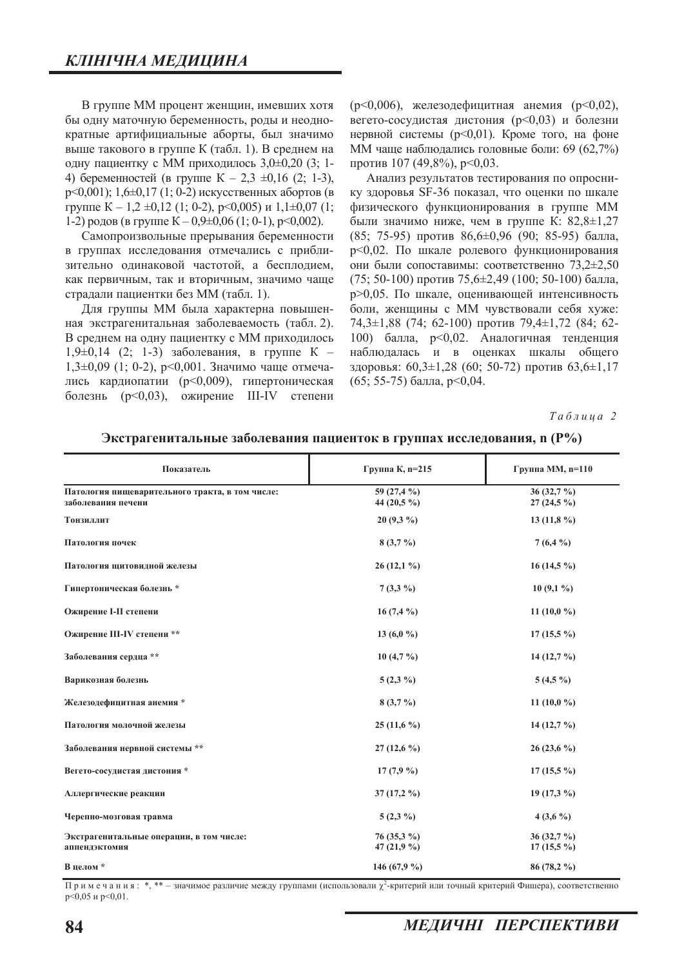В группе ММ процент женщин, имевших хотя бы одну маточную беременность, роды и неоднократные артифициальные аборты, был значимо выше такового в группе К (табл. 1). В среднем на одну пациентку с ММ приходилось 3,0±0,20 (3; 1-4) беременностей (в группе  $K - 2,3 \pm 0,16$  (2; 1-3),  $p \leq 0.001$ ); 1,6 $\pm 0.17$  (1; 0-2) искусственных абортов (в группе  $K - 1,2 \pm 0,12$  (1; 0-2), p<0,005) и 1,1 $\pm 0.07$  (1; 1-2) родов (в группе  $K - 0.9 \pm 0.06$  (1; 0-1), p<0.002).

Самопроизвольные прерывания беременности в группах исследования отмечались с приблизительно одинаковой частотой, а бесплодием, как первичным, так и вторичным, значимо чаще страдали пациентки без ММ (табл. 1).

Для группы ММ была характерна повышенная экстрагенитальная заболеваемость (табл. 2). В среднем на одну пациентку с ММ приходилось  $1,9\pm0,14$  (2; 1-3) заболевания, в группе К –  $1,3\pm0,09$  (1; 0-2), p<0,001. Значимо чаще отмечались кардиопатии (р<0,009), гипертоническая болезнь  $(p<0.03)$ , ожирение III-IV степени  $(p<0,006)$ , железодефицитная анемия  $(p<0,02)$ , вегето-сосудистая дистония (р<0,03) и болезни нервной системы ( $p<0,01$ ). Кроме того, на фоне ММ чаще наблюдались головные боли: 69 (62,7%) против 107 (49,8%), p<0,03.

Анализ результатов тестирования по опроснику здоровья SF-36 показал, что оценки по шкале физического функционирования в группе ММ были значимо ниже, чем в группе К:  $82,8\pm1,27$  $(85; 75-95)$  против  $86,6\pm0.96$   $(90; 85-95)$  балла, р<0,02. По шкале ролевого функционирования они были сопоставимы: соответственно 73,2±2,50  $(75; 50-100)$  против  $75,6\pm2,49$   $(100; 50-100)$  балла, р>0,05. По шкале, оценивающей интенсивность боли, женщины с ММ чувствовали себя хуже: 74,3±1,88 (74; 62-100) против 79,4±1,72 (84; 62-100) балла, р<0,02. Аналогичная тенденция наблюдалась и в оценках шкалы общего здоровья:  $60,3\pm1,28$  (60; 50-72) против  $63,6\pm1,17$  $(65; 55-75)$  балла, p<0,04.

 $Ta6$ лица 2

| Показатель                                                            | Группа К, n=215              | Группа ММ, n=110             |
|-----------------------------------------------------------------------|------------------------------|------------------------------|
| Патология пищеварительного тракта, в том числе:<br>заболевания печени | 59 (27,4 %)<br>44 (20,5 %)   | $36(32,7\%)$<br>$27(24.5\%)$ |
| Тонзиллит                                                             | $20(9,3\%)$                  | 13 $(11,8\%)$                |
| Патология почек                                                       | $8(3,7\%)$                   | $7(6,4\%)$                   |
| Патология щитовидной железы                                           | $26(12,1\%)$                 | $16(14,5\%)$                 |
| Гипертоническая болезнь *                                             | $7(3,3\%)$                   | $10(9,1\%)$                  |
| Ожирение I-II степени                                                 | 16 $(7,4\%)$                 | 11 (10,0 $\%$ )              |
| Ожирение III-IV степени **                                            | 13 (6,0 %)                   | $17(15,5\%)$                 |
| Заболевания сердца **                                                 | $10(4,7\%)$                  | 14 $(12,7\%)$                |
| Варикозная болезнь                                                    | $5(2,3\%)$                   | $5(4,5\%)$                   |
| Железодефицитная анемия *                                             | $8(3,7\%)$                   | 11 (10,0 $\%$ )              |
| Патология молочной железы                                             | $25(11,6\%)$                 | 14 $(12,7\%)$                |
| Заболевания нервной системы **                                        | $27(12,6\%)$                 | $26(23,6\%)$                 |
| Вегето-сосудистая дистония*                                           | $17(7,9\%)$                  | $17(15,5\%)$                 |
| Аллергические реакции                                                 | $37(17,2\%)$                 | $19(17,3\%)$                 |
| Черепно-мозговая травма                                               | $5(2,3\%)$                   | $4(3,6\%)$                   |
| Экстрагенитальные операции, в том числе:<br>аппендэктомия             | 76 (35,3 %)<br>47 $(21,9\%)$ | $36(32,7\%)$<br>$17(15,5\%)$ |
| В целом *                                                             | 146 (67,9 %)                 | $86(78,2\%)$                 |

Экстрагенитальные заболевания пациенток в группах исследования, n (P%)

Примечания: \*, \*\* – значимое различие между группами (использовали  $\chi^2$ -критерий или точный критерий Фишера), соответственно  $p \le 0.05$  и  $p \le 0.01$ .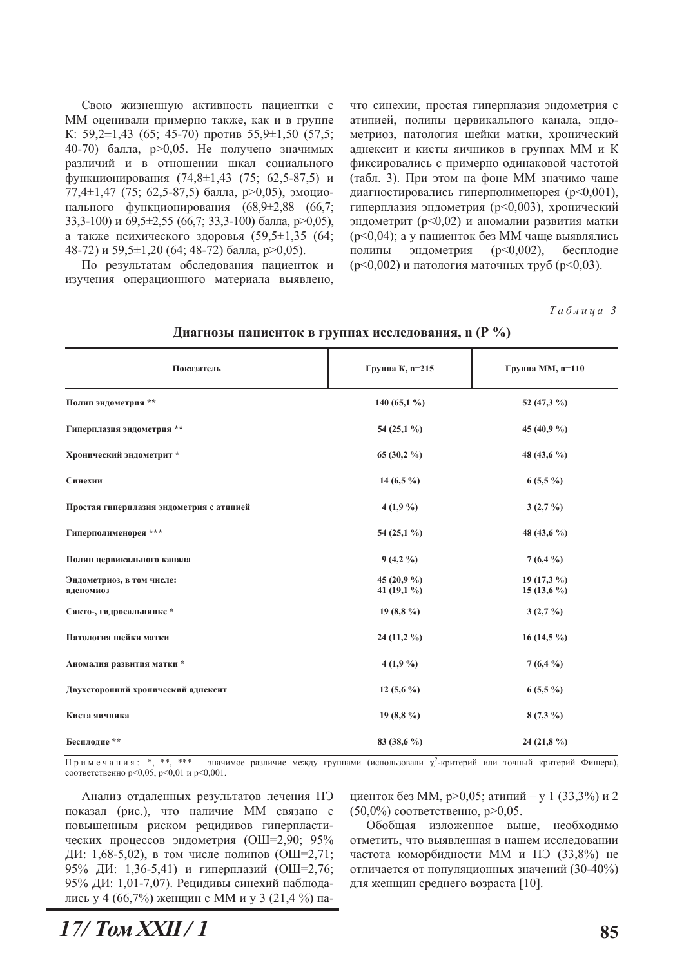Свою жизненную активность пациентки с ММ оценивали примерно также, как и в группе К: 59,2 $\pm$ 1,43 (65; 45-70) против 55,9 $\pm$ 1,50 (57,5; 40-70) балла, р>0,05. Не получено значимых различий и в отношении шкал социального функционирования (74,8 $\pm$ 1,43 (75; 62,5-87,5) и 77,4 $\pm$ 1,47 (75; 62,5-87,5) балла, р>0,05), эмоционального функционирования (68,9±2,88 (66,7; 33,3-100) и  $69,5\pm2,55$  (66,7; 33,3-100) балла, p>0,05), а также психического здоровья  $(59.5 \pm 1.35)$   $(64)$ ; 48-72) и 59,5 $\pm$ 1,20 (64; 48-72) балла, р>0,05).

По результатам обследования пациенток и изучения операционного материала выявлено, что синехии, простая гиперплазия эндометрия с атипией, полипы цервикального канала, эндометриоз, патология шейки матки, хронический аднексит и кисты яичников в группах ММ и К фиксировались с примерно одинаковой частотой (табл. 3). При этом на фоне ММ значимо чаще диагностировались гиперполименорея  $(p<0,001)$ , гиперплазия эндометрия (р<0,003), хронический эндометрит ( $p$ <0,02) и аномалии развития матки  $(p<0.04)$ ; а у пациенток без ММ чаще выявлялись полипы эндометрия ( $p<0.002$ ), бесплодие  $(p<0,002)$  и патология маточных труб  $(p<0,03)$ .

Ta<sub>6</sub> *nuua* 3

| Показатель                               | Группа К, п=215               | Группа ММ, n=110             |
|------------------------------------------|-------------------------------|------------------------------|
| Полип эндометрия **                      | 140 (65,1 %)                  | 52 (47,3 %)                  |
| Гиперплазия эндометрия **                | 54 (25,1 %)                   | 45 (40,9 %)                  |
| Хронический эндометрит*                  | $65(30,2\%)$                  | 48 (43,6 $\%$ )              |
| Синехии                                  | 14 $(6,5\%)$                  | $6(5,5\%)$                   |
| Простая гиперплазия эндометрия с атипией | $4(1,9\%)$                    | $3(2,7\%)$                   |
| Гиперполименорея ***                     | 54 (25,1 %)                   | 48 (43,6 $\%$ )              |
| Полип цервикального канала               | $9(4,2\%)$                    | $7(6,4\%)$                   |
| Эндометриоз, в том числе:<br>аденомиоз   | 45 $(20.9\%$<br>41 $(19,1\%)$ | $19(17,3\%)$<br>$15(13,6\%)$ |
| Сакто-, гидросальпинкс*                  | 19 $(8,8\%)$                  | $3(2,7\%)$                   |
| Патология шейки матки                    | $24(11,2\%)$                  | $16(14,5\%)$                 |
| Аномалия развития матки *                | $4(1,9\%)$                    | $7(6,4\%)$                   |
| Двухсторонний хронический аднексит       | 12 $(5,6\%)$                  | $6(5,5\%)$                   |
| Киста яичника                            | 19 $(8,8\%)$                  | $8(7,3\%)$                   |
| Бесплодие **                             | 83 (38,6 %)                   | $24(21,8\%)$                 |

Диагнозы пациенток в группах исследования, n (Р %)

Примечания: \*, \*\*, \*\*\* - значимое различие между группами (использовали  $\chi^2$ -критерий или точный критерий Фишера), соответственно р<0,05, р<0,01 и р<0,001.

Анализ отдаленных результатов лечения ПЭ показал (рис.), что наличие ММ связано с повышенным риском рецидивов гиперпластических процессов эндометрия (ОШ=2,90; 95% ДИ: 1,68-5,02), в том числе полипов (ОШ=2,71; 95% ДИ: 1,36-5,41) и гиперплазий (ОШ=2,76; 95% ДИ: 1,01-7,07). Рецидивы синехий наблюдались у 4 (66,7%) женщин с ММ и у 3 (21,4 %) пациенток без ММ, р>0,05; атипий – у 1 (33,3%) и 2  $(50,0\%)$  соответственно, p>0,05.

Обобшая изложенное выше, необхолимо отметить, что выявленная в нашем исследовании частота коморбидности ММ и ПЭ (33,8%) не отличается от популяционных значений (30-40%) для женщин среднего возраста [10].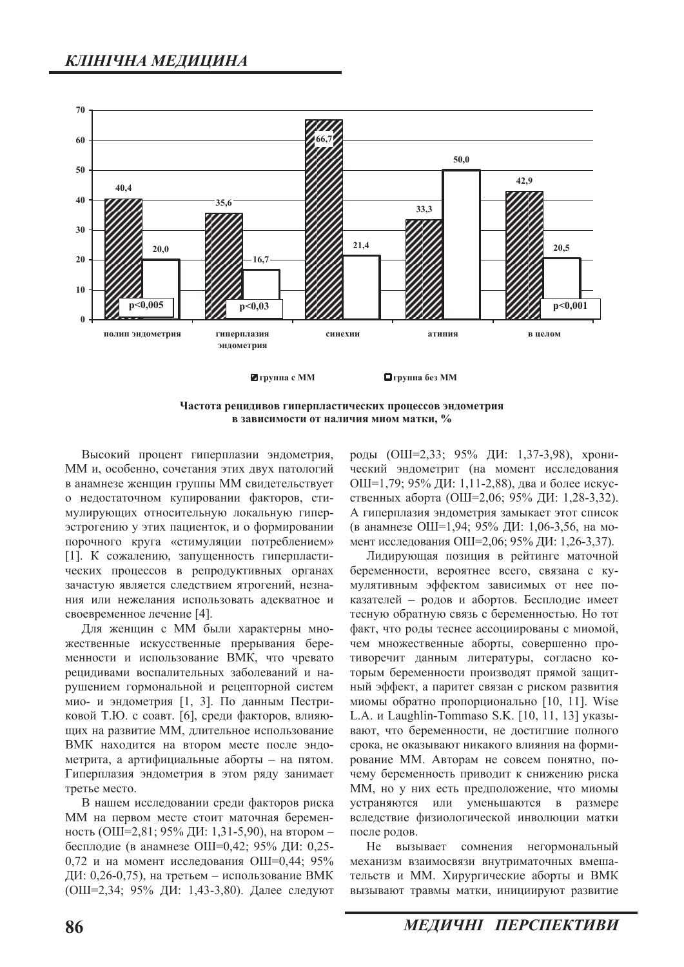

Частота рецидивов гиперпластических процессов эндометрия **в зависимости от наличия миом матки, %** 

Высокий процент гиперплазии эндометрия, ММ и, особенно, сочетания этих двух патологий в анамнезе женщин группы ММ свидетельствует о недостаточном купировании факторов, стимулирующих относительную локальную гиперэстрогению у этих пациенток, и о формировании порочного круга «стимуляции потреблением» [1]. К сожалению, запущенность гиперпластических процессов в репродуктивных органах зачастую является следствием ятрогений, незнания или нежелания использовать адекватное и своевременное лечение [4].

Для женщин с ММ были характерны множественные искусственные прерывания беременности и использование ВМК, что чревато рецидивами воспалительных заболеваний и нарушением гормональной и рецепторной систем мио- и эндометрия [1, 3]. По данным Пестриковой Т.Ю. с соавт. [6], среди факторов, влияющих на развитие ММ, длительное использование ВМК находится на втором месте после эндометрита, а артифициальные аборты - на пятом. Гиперплазия эндометрия в этом ряду занимает третье место.

В нашем исследовании среди факторов риска ММ на первом месте стоит маточная беременность (ОШ=2,81; 95% ДИ: 1,31-5,90), на втором бесплодие (в анамнезе ОШ=0,42; 95% ДИ: 0,25-0,72 и на момент исследования ОШ=0,44; 95% ДИ: 0,26-0,75), на третьем – использование ВМК (ОШ=2,34; 95% ДИ: 1,43-3,80). Далее следуют

роды (ОШ=2,33; 95% ДИ: 1,37-3,98), хронический эндометрит (на момент исследования ОШ=1,79; 95% ДИ: 1,11-2,88), два и более искусственных аборта (ОШ=2,06; 95% ДИ: 1,28-3,32). А гиперплазия эндометрия замыкает этот список (в анамнезе ОШ=1,94; 95% ДИ: 1,06-3,56, на момент исследования ОШ=2,06; 95% ДИ: 1,26-3,37).

Лидирующая позиция в рейтинге маточной беременности, вероятнее всего, связана с кумулятивным эффектом зависимых от нее показателей - родов и абортов. Бесплодие имеет тесную обратную связь с беременностью. Но тот факт, что роды теснее ассоциированы с миомой, чем множественные аборты, совершенно противоречит данным литературы, согласно которым беременности производят прямой защитный эффект, а паритет связан с риском развития миомы обратно пропорционально [10, 11]. Wise L.A. и Laughlin-Tommaso S.K. [10, 11, 13] указывают, что беременности, не достигшие полного срока, не оказывают никакого влияния на формирование ММ. Авторам не совсем понятно, почему беременность приводит к снижению риска ММ, но у них есть предположение, что миомы устраняются или уменьшаются в размере вследствие физиологической инволюции матки после родов.

Не вызывает сомнения негормональный механизм взаимосвязи внутриматочных вмешательств и ММ. Хирургические аборты и ВМК вызывают травмы матки, инициируют развитие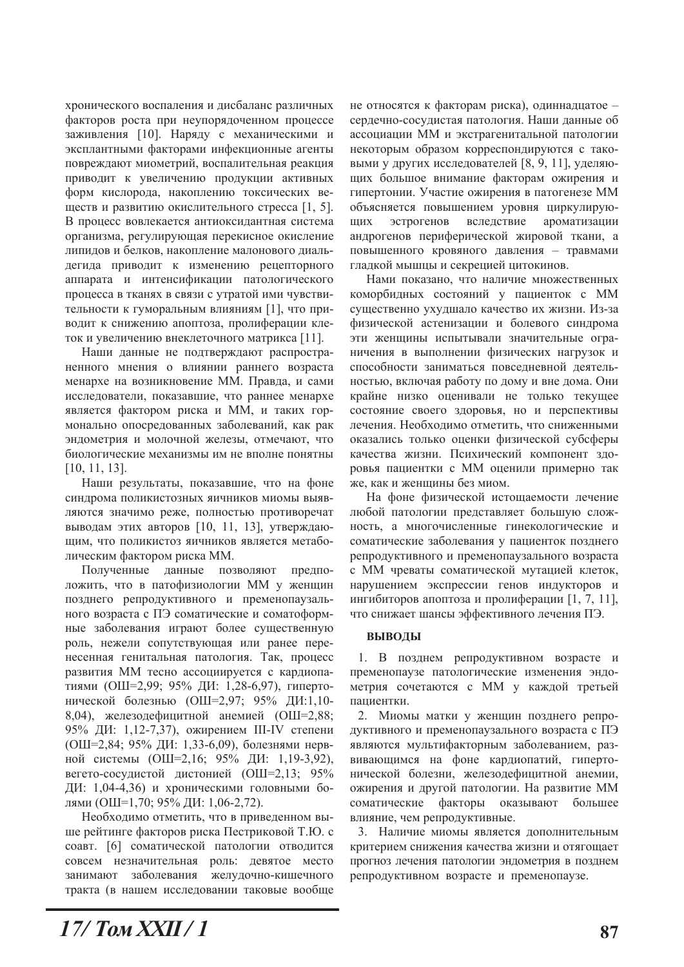хронического воспаления и дисбаланс различных факторов роста при неупорядоченном процессе заживления [10]. Наряду с механическими и эксплантными факторами инфекционные агенты повреждают миометрий, воспалительная реакция приводит к увеличению продукции активных форм кислорода, накоплению токсических веществ и развитию окислительного стресса [1, 5]. В процесс вовлекается антиоксидантная система организма, регулирующая перекисное окисление липидов и белков, накопление малонового диальдегида приводит к изменению рецепторного аппарата и интенсификации патологического процесса в тканях в связи с утратой ими чувствительности к гуморальным влияниям [1], что приводит к снижению апоптоза, пролиферации клеток и увеличению внеклеточного матрикса [11].

Наши данные не подтверждают распространенного мнения о влиянии раннего возраста менархе на возникновение ММ. Правда, и сами исследователи, показавшие, что раннее менархе является фактором риска и ММ, и таких гормонально опосредованных заболеваний, как рак эндометрия и молочной железы, отмечают, что биологические механизмы им не вполне понятны  $[10, 11, 13]$ .

Наши результаты, показавшие, что на фоне синдрома поликистозных яичников миомы выявляются значимо реже, полностью противоречат выводам этих авторов [10, 11, 13], утверждающим, что поликистоз яичников является метаболическим фактором риска ММ.

Полученные данные позволяют предположить, что в патофизиологии ММ у женщин позднего репродуктивного и пременопаузального возраста с ПЭ соматические и соматоформные заболевания играют более существенную роль, нежели сопутствующая или ранее перенесенная генитальная патология. Так, процесс развития ММ тесно ассоциируется с кардиопатиями (ОШ=2,99; 95% ДИ: 1,28-6,97), гипертонической болезнью (ОШ=2,97; 95% ДИ:1,10-8,04), железодефицитной анемией (ОШ=2,88; 95% ДИ: 1,12-7,37), ожирением III-IV степени (ОШ=2,84; 95% ДИ: 1,33-6,09), болезнями нервной системы (ОШ=2,16; 95% ДИ: 1,19-3,92), вегето-сосудистой дистонией (ОШ=2,13; 95% ДИ: 1,04-4,36) и хроническими головными болями (ОШ=1,70; 95% ДИ: 1,06-2,72).

Необходимо отметить, что в приведенном выше рейтинге факторов риска Пестриковой Т.Ю. с соавт. [6] соматической патологии отводится совсем незначительная роль: девятое место занимают заболевания желудочно-кишечного тракта (в нашем исследовании таковые вообще

не относятся к факторам риска), одиннадцатое сердечно-сосудистая патология. Наши данные об ассоциации ММ и экстрагенитальной патологии некоторым образом корреспондируются с таковыми у других исследователей [8, 9, 11], уделяющих большое внимание факторам ожирения и гипертонии. Участие ожирения в патогенезе ММ объясняется повышением уровня циркулирующих эстрогенов вследствие ароматизации андрогенов периферической жировой ткани, а повышенного кровяного давления - травмами гладкой мышцы и секрецией цитокинов.

Нами показано, что наличие множественных коморбидных состояний у пациенток с ММ существенно ухудшало качество их жизни. Из-за физической астенизации и болевого синдрома эти женщины испытывали значительные ограничения в выполнении физических нагрузок и способности заниматься повседневной деятельностью, включая работу по дому и вне дома. Они крайне низко оценивали не только текущее состояние своего здоровья, но и перспективы лечения. Необходимо отметить, что сниженными оказались только оценки физической субсферы качества жизни. Психический компонент здоровья пациентки с ММ оценили примерно так же, как и женщины без миом.

На фоне физической истощаемости лечение любой патологии представляет большую сложность, а многочисленные гинекологические и соматические заболевания у пациенток позднего репродуктивного и пременопаузального возраста с ММ чреваты соматической мутацией клеток, нарушением экспрессии генов индукторов и ингибиторов апоптоза и пролиферации [1, 7, 11], что снижает шансы эффективного лечения ПЭ.

#### **ВЫВОДЫ**

1. В позднем репродуктивном возрасте и пременопаузе патологические изменения эндометрия сочетаются с ММ у каждой третьей паниентки.

2. Миомы матки у женщин позднего репродуктивного и пременопаузального возраста с ПЭ являются мультифакторным заболеванием, развивающимся на фоне кардиопатий, гипертонической болезни, железодефицитной анемии, ожирения и другой патологии. На развитие ММ соматические факторы оказывают большее влияние, чем репродуктивные.

3. Наличие миомы является дополнительным критерием снижения качества жизни и отягощает прогноз лечения патологии эндометрия в позднем репродуктивном возрасте и пременопаузе.